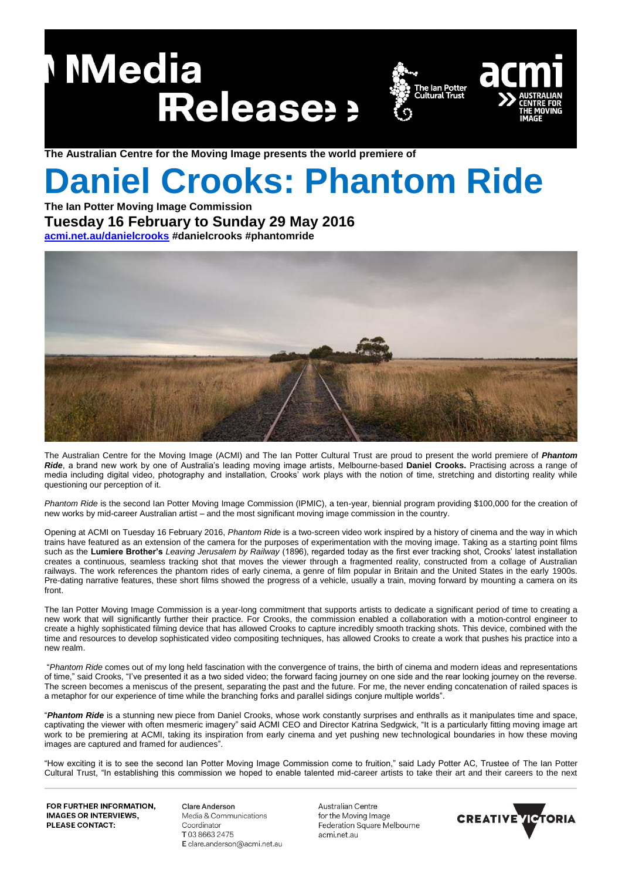# **Media Release!!**





**The Australian Centre for the Moving Image presents the world premiere of** 

## **Daniel Crooks: Phantom Ride**

**The Ian Potter Moving Image Commission Tuesday 16 February to Sunday 29 May 2016 [acmi.net.au/danielcrooks](http://www.acmi.net.au/daniel-crooks) #danielcrooks #phantomride** 



The Australian Centre for the Moving Image (ACMI) and The Ian Potter Cultural Trust are proud to present the world premiere of *Phantom Ride*, a brand new work by one of Australia's leading moving image artists, Melbourne-based **Daniel Crooks.** Practising across a range of media including digital video, photography and installation, Crooks' work plays with the notion of time, stretching and distorting reality while questioning our perception of it.

*Phantom Ride* is the second Ian Potter Moving Image Commission (IPMIC), a ten-year, biennial program providing \$100,000 for the creation of new works by mid-career Australian artist – and the most significant moving image commission in the country.

Opening at ACMI on Tuesday 16 February 2016, *Phantom Ride* is a two-screen video work inspired by a history of cinema and the way in which trains have featured as an extension of the camera for the purposes of experimentation with the moving image. Taking as a starting point films such as the **Lumiere Brother's** *Leaving Jerusalem by Railway* (1896), regarded today as the first ever tracking shot, Crooks' latest installation creates a continuous, seamless tracking shot that moves the viewer through a fragmented reality, constructed from a collage of Australian railways. The work references the phantom rides of early cinema, a genre of film popular in Britain and the United States in the early 1900s. Pre-dating narrative features, these short films showed the progress of a vehicle, usually a train, moving forward by mounting a camera on its front.

The Ian Potter Moving Image Commission is a year-long commitment that supports artists to dedicate a significant period of time to creating a new work that will significantly further their practice. For Crooks, the commission enabled a collaboration with a motion-control engineer to create a highly sophisticated filming device that has allowed Crooks to capture incredibly smooth tracking shots. This device, combined with the time and resources to develop sophisticated video compositing techniques, has allowed Crooks to create a work that pushes his practice into a new realm.

"*Phantom Ride* comes out of my long held fascination with the convergence of trains, the birth of cinema and modern ideas and representations of time," said Crooks, "I've presented it as a two sided video; the forward facing journey on one side and the rear looking journey on the reverse. The screen becomes a meniscus of the present, separating the past and the future. For me, the never ending concatenation of railed spaces is a metaphor for our experience of time while the branching forks and parallel sidings conjure multiple worlds".

"*Phantom Ride* is a stunning new piece from Daniel Crooks, whose work constantly surprises and enthralls as it manipulates time and space, captivating the viewer with often mesmeric imagery" said ACMI CEO and Director Katrina Sedgwick, "It is a particularly fitting moving image art work to be premiering at ACMI, taking its inspiration from early cinema and yet pushing new technological boundaries in how these moving images are captured and framed for audiences".

"How exciting it is to see the second Ian Potter Moving Image Commission come to fruition," said Lady Potter AC, Trustee of The Ian Potter Cultural Trust, "In establishing this commission we hoped to enable talented mid-career artists to take their art and their careers to the next

FOR FURTHER INFORMATION, **IMAGES OR INTERVIEWS, PLEASE CONTACT:** 

Clare Anderson Media & Communications Coordinator T0386632475 E clare.anderson@acmi.net.au Australian Centre for the Moving Image Federation Square Melbourne acmi.net.au